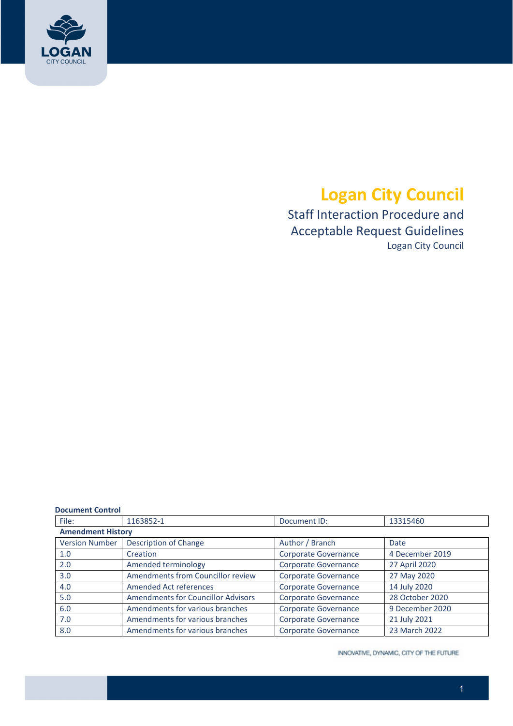

# **Logan City Council**

 Staff Interaction Procedure and Acceptable Request Guidelines Logan City Council

#### **Document Control**

| File:                    | 1163852-1                                 | Document ID:         | 13315460        |  |  |
|--------------------------|-------------------------------------------|----------------------|-----------------|--|--|
| <b>Amendment History</b> |                                           |                      |                 |  |  |
| <b>Version Number</b>    | <b>Description of Change</b>              | Author / Branch      | Date            |  |  |
| 1.0                      | Creation                                  | Corporate Governance | 4 December 2019 |  |  |
| 2.0                      | Amended terminology                       | Corporate Governance | 27 April 2020   |  |  |
| 3.0                      | Amendments from Councillor review         | Corporate Governance | 27 May 2020     |  |  |
| 4.0                      | <b>Amended Act references</b>             | Corporate Governance | 14 July 2020    |  |  |
| 5.0                      | <b>Amendments for Councillor Advisors</b> | Corporate Governance | 28 October 2020 |  |  |
| 6.0                      | Amendments for various branches           | Corporate Governance | 9 December 2020 |  |  |
| 7.0                      | Amendments for various branches           | Corporate Governance | 21 July 2021    |  |  |
| 8.0                      | Amendments for various branches           | Corporate Governance | 23 March 2022   |  |  |

INNOVATIVE, DYNAMIC, CITY OF THE FUTURE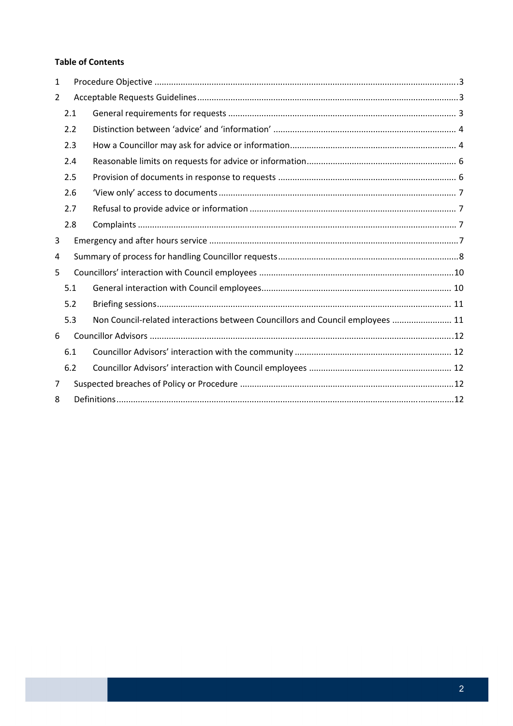#### **Table of Contents**

| 1              |     |                                                                                |  |  |  |
|----------------|-----|--------------------------------------------------------------------------------|--|--|--|
| $\overline{2}$ |     |                                                                                |  |  |  |
|                | 2.1 |                                                                                |  |  |  |
| 2.2            |     |                                                                                |  |  |  |
|                | 2.3 |                                                                                |  |  |  |
|                | 2.4 |                                                                                |  |  |  |
|                | 2.5 |                                                                                |  |  |  |
|                | 2.6 |                                                                                |  |  |  |
|                | 2.7 |                                                                                |  |  |  |
|                | 2.8 |                                                                                |  |  |  |
| 3              |     |                                                                                |  |  |  |
| 4              |     |                                                                                |  |  |  |
| 5              |     |                                                                                |  |  |  |
|                | 5.1 |                                                                                |  |  |  |
|                | 5.2 |                                                                                |  |  |  |
|                | 5.3 | Non Council-related interactions between Councillors and Council employees  11 |  |  |  |
| 6              |     |                                                                                |  |  |  |
|                | 6.1 |                                                                                |  |  |  |
|                | 6.2 |                                                                                |  |  |  |
| 7              |     |                                                                                |  |  |  |
| 8              |     |                                                                                |  |  |  |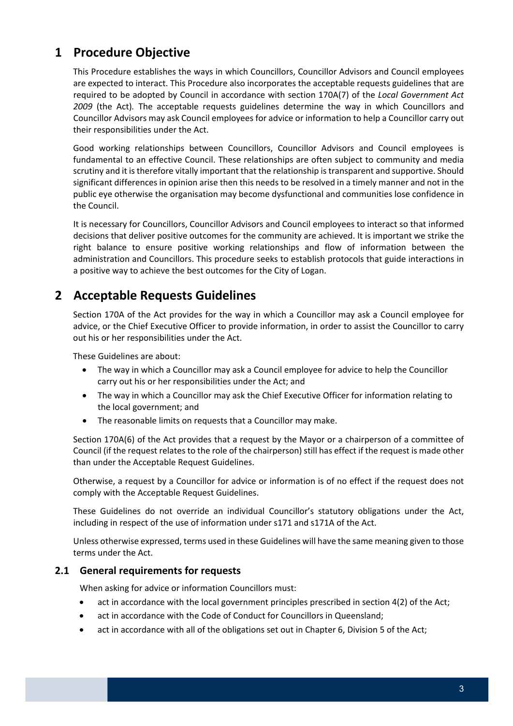### **1 Procedure Objective**

 This Procedure establishes the ways in which Councillors, Councillor Advisors and Council employees are expected to interact. This Procedure also incorporates the acceptable requests guidelines that are  required to be adopted by Council in accordance with section 170A(7) of the *Local Government Act 2009* (the Act)*.* The acceptable requests guidelines determine the way in which Councillors and Councillor Advisors may ask Council employees for advice or information to help a Councillor carry out their responsibilities under the Act.

 Good working relationships between Councillors, Councillor Advisors and Council employees is fundamental to an effective Council. These relationships are often subject to community and media scrutiny and it is therefore vitally important that the relationship is transparent and supportive. Should significant differences in opinion arise then this needs to be resolved in a timely manner and not in the public eye otherwise the organisation may become dysfunctional and communities lose confidence in the Council.

 It is necessary for Councillors, Councillor Advisors and Council employees to interact so that informed decisions that deliver positive outcomes for the community are achieved. It is important we strike the right balance to ensure positive working relationships and flow of information between the administration and Councillors. This procedure seeks to establish protocols that guide interactions in a positive way to achieve the best outcomes for the City of Logan.

### **2 Acceptable Requests Guidelines**

 Section 170A of the Act provides for the way in which a Councillor may ask a Council employee for advice, or the Chief Executive Officer to provide information, in order to assist the Councillor to carry out his or her responsibilities under the Act.

These Guidelines are about:

- The way in which a Councillor may ask a Council employee for advice to help the Councillor carry out his or her responsibilities under the Act; and
- The way in which a Councillor may ask the Chief Executive Officer for information relating to the local government; and
- The reasonable limits on requests that a Councillor may make.

 Section 170A(6) of the Act provides that a request by the Mayor or a chairperson of a committee of Council (if the request relates to the role of the chairperson) still has effect if the request is made other than under the Acceptable Request Guidelines.

 Otherwise, a request by a Councillor for advice or information is of no effect if the request does not comply with the Acceptable Request Guidelines.

 These Guidelines do not override an individual Councillor's statutory obligations under the Act, including in respect of the use of information under s171 and s171A of the Act.

 Unless otherwise expressed, terms used in these Guidelines will have the same meaning given to those terms under the Act.

#### **2.1 General requirements for requests**

When asking for advice or information Councillors must:

- act in accordance with the local government principles prescribed in section 4(2) of the Act;
- act in accordance with the Code of Conduct for Councillors in Queensland;
- act in accordance with all of the obligations set out in Chapter 6, Division 5 of the Act;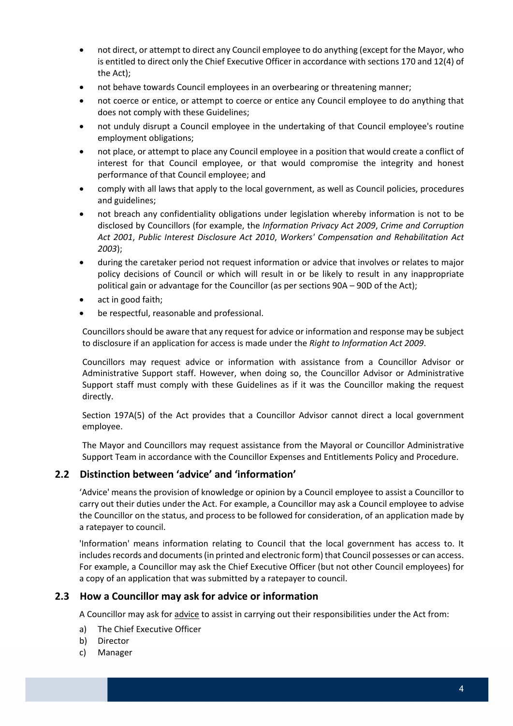- not direct, or attempt to direct any Council employee to do anything (except for the Mayor, who is entitled to direct only the Chief Executive Officer in accordance with sections 170 and 12(4) of the Act);
- not behave towards Council employees in an overbearing or threatening manner;
- not coerce or entice, or attempt to coerce or entice any Council employee to do anything that does not comply with these Guidelines;
- not unduly disrupt a Council employee in the undertaking of that Council employee's routine employment obligations;
- not place, or attempt to place any Council employee in a position that would create a conflict of interest for that Council employee, or that would compromise the integrity and honest performance of that Council employee; and
- comply with all laws that apply to the local government, as well as Council policies, procedures and guidelines;
- not breach any confidentiality obligations under legislation whereby information is not to be  disclosed by Councillors (for example, the *Information Privacy Act 2009*, *Crime and Corruption Act 2001*, *Public Interest Disclosure Act 2010*, *Workers' Compensation and Rehabilitation Act 2003*);
- during the caretaker period not request information or advice that involves or relates to major policy decisions of Council or which will result in or be likely to result in any inappropriate political gain or advantage for the Councillor (as per sections 90A – 90D of the Act);
- act in good faith;
- be respectful, reasonable and professional.

Councillors should be aware that any request for advice or information and response may be subject  to disclosure if an application for access is made under the *Right to Information Act 2009*.

 Councillors may request advice or information with assistance from a Councillor Advisor or Administrative Support staff. However, when doing so, the Councillor Advisor or Administrative Support staff must comply with these Guidelines as if it was the Councillor making the request directly.

 Section 197A(5) of the Act provides that a Councillor Advisor cannot direct a local government employee.

 The Mayor and Councillors may request assistance from the Mayoral or Councillor Administrative Support Team in accordance with the Councillor Expenses and Entitlements Policy and Procedure.

#### **2.2 Distinction between 'advice' and 'information'**

 'Advice' means the provision of knowledge or opinion by a Council employee to assist a Councillor to carry out their duties under the Act. For example, a Councillor may ask a Council employee to advise the Councillor on the status, and process to be followed for consideration, of an application made by a ratepayer to council.

 'Information' means information relating to Council that the local government has access to. It includes records and documents (in printed and electronic form) that Council possesses or can access. For example, a Councillor may ask the Chief Executive Officer (but not other Council employees) for a copy of an application that was submitted by a ratepayer to council.

#### **2.3 How a Councillor may ask for advice or information**

A Councillor may ask for advice to assist in carrying out their responsibilities under the Act from:

- a) The Chief Executive Officer
- b) Director
- c) Manager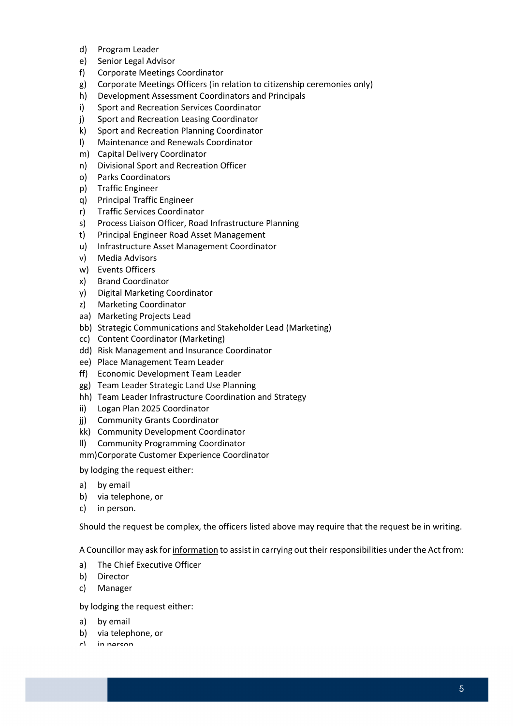- d) Program Leader
- e) Senior Legal Advisor
- f) Corporate Meetings Coordinator
- g) Corporate Meetings Officers (in relation to citizenship ceremonies only)
- h) Development Assessment Coordinators and Principals
- i) Sport and Recreation Services Coordinator
- j) Sport and Recreation Leasing Coordinator
- k) Sport and Recreation Planning Coordinator
- l) Maintenance and Renewals Coordinator
- m) Capital Delivery Coordinator
- n) Divisional Sport and Recreation Officer
- o) Parks Coordinators
- p) Traffic Engineer
- q) Principal Traffic Engineer
- r) Traffic Services Coordinator
- s) Process Liaison Officer, Road Infrastructure Planning
- t) Principal Engineer Road Asset Management
- u) Infrastructure Asset Management Coordinator
- v) Media Advisors
- w) Events Officers
- x) Brand Coordinator
- y) Digital Marketing Coordinator
- z) Marketing Coordinator
- aa) Marketing Projects Lead
- bb) Strategic Communications and Stakeholder Lead (Marketing)
- cc) Content Coordinator (Marketing)
- dd) Risk Management and Insurance Coordinator
- ee) Place Management Team Leader
- ff) Economic Development Team Leader
- gg) Team Leader Strategic Land Use Planning
- hh) Team Leader Infrastructure Coordination and Strategy
- ii) Logan Plan 2025 Coordinator
- jj) Community Grants Coordinator
- kk) Community Development Coordinator
- ll) Community Programming Coordinator

mm)Corporate Customer Experience Coordinator

by lodging the request either:

- a) by email
- b) via telephone, or
- c) in person.

Should the request be complex, the officers listed above may require that the request be in writing.

A Councillor may ask for <u>information</u> to assist in carrying out their responsibilities under the Act from:

- a) The Chief Executive Officer
- b) Director
- c) Manager

by lodging the request either:

- a) by email
- b) via telephone, or
- $r$ ) in narcon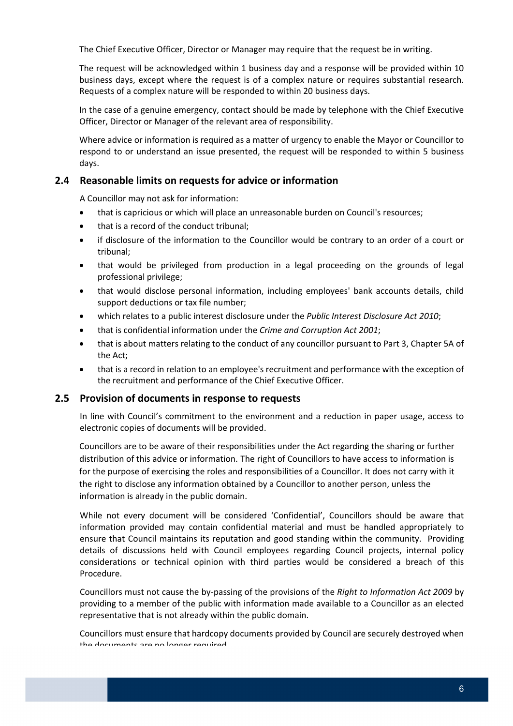The Chief Executive Officer, Director or Manager may require that the request be in writing.

 The request will be acknowledged within 1 business day and a response will be provided within 10 business days, except where the request is of a complex nature or requires substantial research. Requests of a complex nature will be responded to within 20 business days.

 In the case of a genuine emergency, contact should be made by telephone with the Chief Executive Officer, Director or Manager of the relevant area of responsibility.

 Where advice or information is required as a matter of urgency to enable the Mayor or Councillor to respond to or understand an issue presented, the request will be responded to within 5 business days.

### **2.4 Reasonable limits on requests for advice or information**

A Councillor may not ask for information:

- that is capricious or which will place an unreasonable burden on Council's resources;
- that is a record of the conduct tribunal;
- if disclosure of the information to the Councillor would be contrary to an order of a court or tribunal;
- that would be privileged from production in a legal proceeding on the grounds of legal professional privilege;
- that would disclose personal information, including employees' bank accounts details, child support deductions or tax file number;
- which relates to a public interest disclosure under the *Public Interest Disclosure Act 2010*;
- that is confidential information under the *Crime and Corruption Act 2001*;
- that is about matters relating to the conduct of any councillor pursuant to Part 3, Chapter 5A of the Act;
- that is a record in relation to an employee's recruitment and performance with the exception of the recruitment and performance of the Chief Executive Officer.

#### **2.5 Provision of documents in response to requests**

 In line with Council's commitment to the environment and a reduction in paper usage, access to electronic copies of documents will be provided.

 Councillors are to be aware of their responsibilities under the Act regarding the sharing or further distribution of this advice or information. The right of Councillors to have access to information is for the purpose of exercising the roles and responsibilities of a Councillor. It does not carry with it the right to disclose any information obtained by a Councillor to another person, unless the information is already in the public domain.

 While not every document will be considered 'Confidential', Councillors should be aware that information provided may contain confidential material and must be handled appropriately to ensure that Council maintains its reputation and good standing within the community. Providing details of discussions held with Council employees regarding Council projects, internal policy considerations or technical opinion with third parties would be considered a breach of this Procedure.

  Councillors must not cause the by‐passing of the provisions of the *Right to Information Act 2009* by providing to a member of the public with information made available to a Councillor as an elected representative that is not already within the public domain.

 Councillors must ensure that hardcopy documents provided by Council are securely destroyed when the documents are no longer required.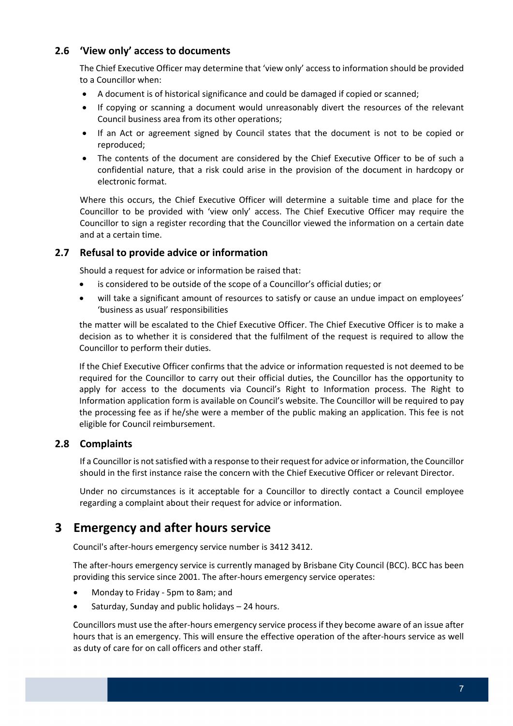### **2.6 'View only' access to documents**

 The Chief Executive Officer may determine that 'view only' access to information should be provided to a Councillor when:

- A document is of historical significance and could be damaged if copied or scanned;
- If copying or scanning a document would unreasonably divert the resources of the relevant Council business area from its other operations;
- If an Act or agreement signed by Council states that the document is not to be copied or reproduced;
- The contents of the document are considered by the Chief Executive Officer to be of such a confidential nature, that a risk could arise in the provision of the document in hardcopy or electronic format.

 Where this occurs, the Chief Executive Officer will determine a suitable time and place for the Councillor to be provided with 'view only' access. The Chief Executive Officer may require the Councillor to sign a register recording that the Councillor viewed the information on a certain date and at a certain time.

### **2.7 Refusal to provide advice or information**

Should a request for advice or information be raised that:

- is considered to be outside of the scope of a Councillor's official duties; or
- will take a significant amount of resources to satisfy or cause an undue impact on employees' 'business as usual' responsibilities

 the matter will be escalated to the Chief Executive Officer. The Chief Executive Officer is to make a decision as to whether it is considered that the fulfilment of the request is required to allow the Councillor to perform their duties.

 If the Chief Executive Officer confirms that the advice or information requested is not deemed to be required for the Councillor to carry out their official duties, the Councillor has the opportunity to apply for access to the documents via Council's Right to Information process. The Right to Information application form is available on Council's website. The Councillor will be required to pay the processing fee as if he/she were a member of the public making an application. This fee is not eligible for Council reimbursement.

### **2.8 Complaints**

If a Councillor is not satisfied with a response to their request for advice or information, the Councillor should in the first instance raise the concern with the Chief Executive Officer or relevant Director.

 Under no circumstances is it acceptable for a Councillor to directly contact a Council employee regarding a complaint about their request for advice or information.

### **3 Emergency and after hours service**

Council's after‐hours emergency service number is 3412 3412.

 The after‐hours emergency service is currently managed by Brisbane City Council (BCC). BCC has been providing this service since 2001. The after‐hours emergency service operates:

- Monday to Friday 5pm to 8am; and
- Saturday, Sunday and public holidays 24 hours.

 Councillors must use the after‐hours emergency service processif they become aware of an issue after hours that is an emergency. This will ensure the effective operation of the after-hours service as well as duty of care for on call officers and other staff.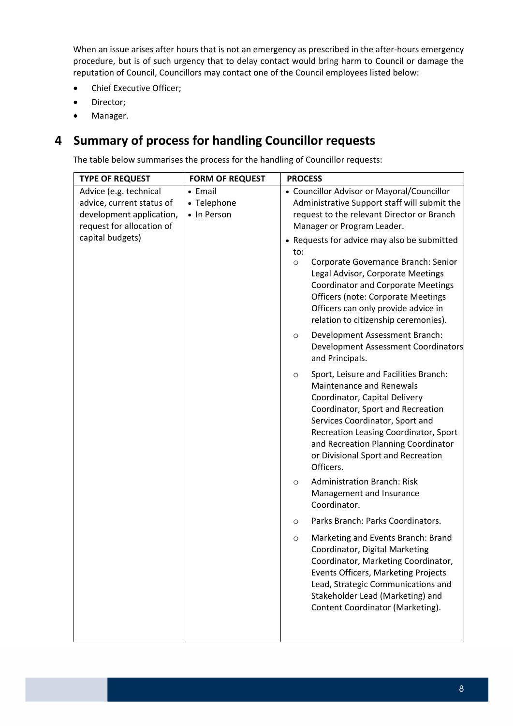When an issue arises after hours that is not an emergency as prescribed in the after-hours emergency procedure, but is of such urgency that to delay contact would bring harm to Council or damage the reputation of Council, Councillors may contact one of the Council employees listed below:

- Chief Executive Officer;
- Director;
- Manager.

## **4 Summary of process for handling Councillor requests**

The table below summarises the process for the handling of Councillor requests: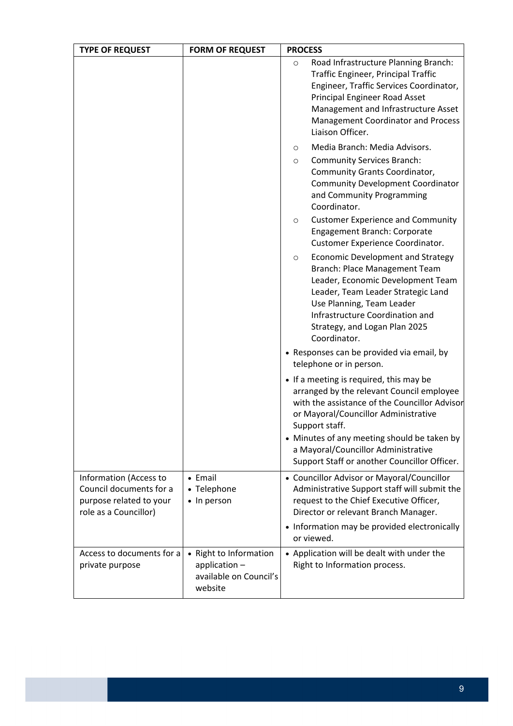| <b>TYPE OF REQUEST</b>                                                                                | <b>FORM OF REQUEST</b>                                                       | <b>PROCESS</b>                                                                                                                                                                                                                                                                        |
|-------------------------------------------------------------------------------------------------------|------------------------------------------------------------------------------|---------------------------------------------------------------------------------------------------------------------------------------------------------------------------------------------------------------------------------------------------------------------------------------|
|                                                                                                       |                                                                              | Road Infrastructure Planning Branch:<br>$\circ$<br>Traffic Engineer, Principal Traffic<br>Engineer, Traffic Services Coordinator,<br>Principal Engineer Road Asset<br>Management and Infrastructure Asset<br><b>Management Coordinator and Process</b><br>Liaison Officer.            |
|                                                                                                       |                                                                              | Media Branch: Media Advisors.<br>O                                                                                                                                                                                                                                                    |
|                                                                                                       |                                                                              | <b>Community Services Branch:</b><br>O<br>Community Grants Coordinator,<br><b>Community Development Coordinator</b><br>and Community Programming<br>Coordinator.                                                                                                                      |
|                                                                                                       |                                                                              | <b>Customer Experience and Community</b><br>$\circ$<br>Engagement Branch: Corporate<br>Customer Experience Coordinator.                                                                                                                                                               |
|                                                                                                       |                                                                              | <b>Economic Development and Strategy</b><br>$\circ$<br>Branch: Place Management Team<br>Leader, Economic Development Team<br>Leader, Team Leader Strategic Land<br>Use Planning, Team Leader<br>Infrastructure Coordination and<br>Strategy, and Logan Plan 2025<br>Coordinator.      |
|                                                                                                       |                                                                              | • Responses can be provided via email, by<br>telephone or in person.                                                                                                                                                                                                                  |
|                                                                                                       |                                                                              | • If a meeting is required, this may be<br>arranged by the relevant Council employee<br>with the assistance of the Councillor Advisor<br>or Mayoral/Councillor Administrative<br>Support staff.<br>• Minutes of any meeting should be taken by<br>a Mayoral/Councillor Administrative |
|                                                                                                       |                                                                              | Support Staff or another Councillor Officer.                                                                                                                                                                                                                                          |
| Information (Access to<br>Council documents for a<br>purpose related to your<br>role as a Councillor) | • Email<br>• Telephone<br>• In person                                        | • Councillor Advisor or Mayoral/Councillor<br>Administrative Support staff will submit the<br>request to the Chief Executive Officer,<br>Director or relevant Branch Manager.<br>• Information may be provided electronically<br>or viewed.                                           |
| Access to documents for a<br>private purpose                                                          | • Right to Information<br>application -<br>available on Council's<br>website | • Application will be dealt with under the<br>Right to Information process.                                                                                                                                                                                                           |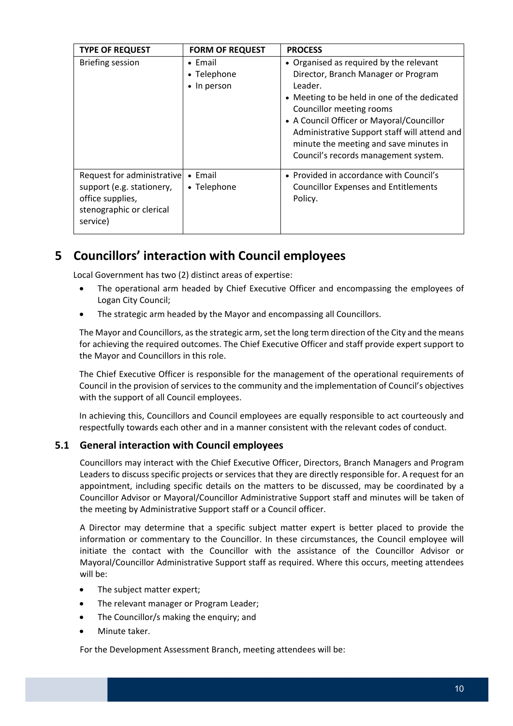| <b>TYPE OF REQUEST</b>                                                                                              | <b>FORM OF REQUEST</b>                        | <b>PROCESS</b>                                                                                                                                                                                                                                                                                                                                       |
|---------------------------------------------------------------------------------------------------------------------|-----------------------------------------------|------------------------------------------------------------------------------------------------------------------------------------------------------------------------------------------------------------------------------------------------------------------------------------------------------------------------------------------------------|
| <b>Briefing session</b>                                                                                             | $\bullet$ Email<br>• Telephone<br>• In person | • Organised as required by the relevant<br>Director, Branch Manager or Program<br>Leader.<br>• Meeting to be held in one of the dedicated<br>Councillor meeting rooms<br>• A Council Officer or Mayoral/Councillor<br>Administrative Support staff will attend and<br>minute the meeting and save minutes in<br>Council's records management system. |
| Request for administrative<br>support (e.g. stationery,<br>office supplies,<br>stenographic or clerical<br>service) | $\bullet$ Email<br>• Telephone                | • Provided in accordance with Council's<br><b>Councillor Expenses and Entitlements</b><br>Policy.                                                                                                                                                                                                                                                    |

## **5 Councillors' interaction with Council employees**

Local Government has two (2) distinct areas of expertise:

- The operational arm headed by Chief Executive Officer and encompassing the employees of Logan City Council;
- The strategic arm headed by the Mayor and encompassing all Councillors.

The Mayor and Councillors, as the strategic arm, set the long term direction of the City and the means for achieving the required outcomes. The Chief Executive Officer and staff provide expert support to the Mayor and Councillors in this role.

 The Chief Executive Officer is responsible for the management of the operational requirements of Council in the provision of services to the community and the implementation of Council's objectives with the support of all Council employees.

 In achieving this, Councillors and Council employees are equally responsible to act courteously and respectfully towards each other and in a manner consistent with the relevant codes of conduct.

### **5.1 General interaction with Council employees**

 Councillors may interact with the Chief Executive Officer, Directors, Branch Managers and Program Leaders to discuss specific projects or services that they are directly responsible for. A request for an appointment, including specific details on the matters to be discussed, may be coordinated by a Councillor Advisor or Mayoral/Councillor Administrative Support staff and minutes will be taken of the meeting by Administrative Support staff or a Council officer.

 A Director may determine that a specific subject matter expert is better placed to provide the information or commentary to the Councillor. In these circumstances, the Council employee will initiate the contact with the Councillor with the assistance of the Councillor Advisor or Mayoral/Councillor Administrative Support staff as required. Where this occurs, meeting attendees will be:

- The subject matter expert;
- The relevant manager or Program Leader;
- The Councillor/s making the enquiry; and
- Minute taker.

For the Development Assessment Branch, meeting attendees will be: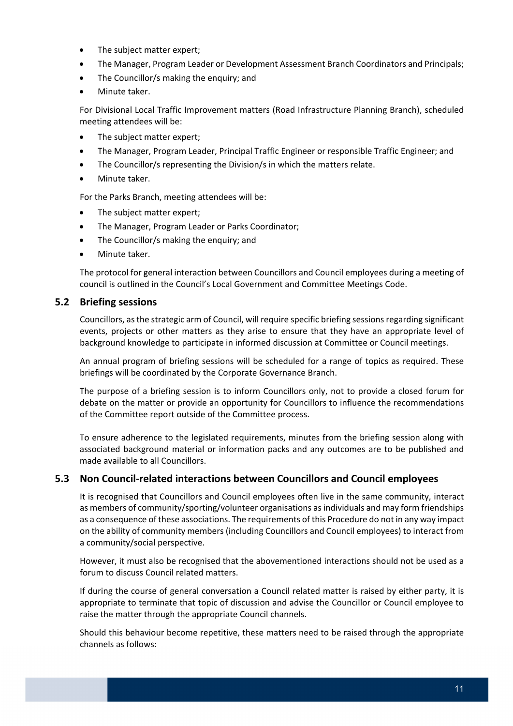- The subject matter expert;
- The Manager, Program Leader or Development Assessment Branch Coordinators and Principals;
- The Councillor/s making the enquiry; and
- Minute taker.

 For Divisional Local Traffic Improvement matters (Road Infrastructure Planning Branch), scheduled meeting attendees will be:

- The subject matter expert;
- The Manager, Program Leader, Principal Traffic Engineer or responsible Traffic Engineer; and
- The Councillor/s representing the Division/s in which the matters relate.
- Minute taker.

For the Parks Branch, meeting attendees will be:

- The subject matter expert;
- The Manager, Program Leader or Parks Coordinator;
- The Councillor/s making the enquiry; and
- Minute taker.

 The protocol for general interaction between Councillors and Council employees during a meeting of council is outlined in the Council's Local Government and Committee Meetings Code.

#### **5.2 Briefing sessions**

 Councillors, asthe strategic arm of Council, will require specific briefing sessions regarding significant events, projects or other matters as they arise to ensure that they have an appropriate level of background knowledge to participate in informed discussion at Committee or Council meetings.

 An annual program of briefing sessions will be scheduled for a range of topics as required. These briefings will be coordinated by the Corporate Governance Branch.

 The purpose of a briefing session is to inform Councillors only, not to provide a closed forum for debate on the matter or provide an opportunity for Councillors to influence the recommendations of the Committee report outside of the Committee process.

 To ensure adherence to the legislated requirements, minutes from the briefing session along with associated background material or information packs and any outcomes are to be published and made available to all Councillors.

### **5.3 Non Council‐related interactions between Councillors and Council employees**

 It is recognised that Councillors and Council employees often live in the same community, interact as members of community/sporting/volunteer organisations as individuals and may form friendships as a consequence of these associations. The requirements of this Procedure do not in any way impact on the ability of community members (including Councillors and Council employees) to interact from a community/social perspective.

 However, it must also be recognised that the abovementioned interactions should not be used as a forum to discuss Council related matters.

 If during the course of general conversation a Council related matter is raised by either party, it is appropriate to terminate that topic of discussion and advise the Councillor or Council employee to raise the matter through the appropriate Council channels.

 Should this behaviour become repetitive, these matters need to be raised through the appropriate channels as follows: